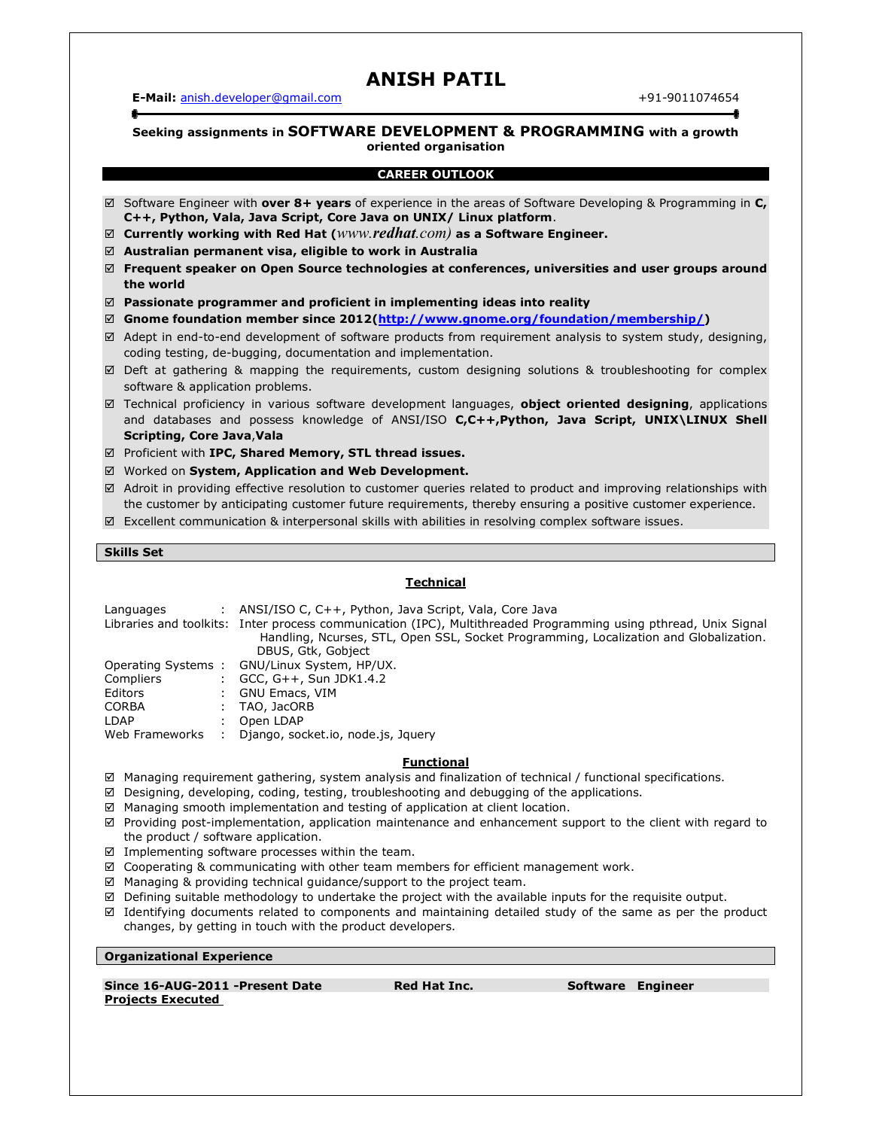# **ANISH PATIL**

**E-Mail:** anish.developer@gmail.com **+91-9011074654** 

# **Seeking assignments in SOFTWARE DEVELOPMENT & PROGRAMMING with a growth oriented organisation**

# **CAREER OUTLOOK**

- Software Engineer with **over 8+ years** of experience in the areas of Software Developing & Programming in **C, C++, Python, Vala, Java Script, Core Java on UNIX/ Linux platform**.
- **Currently working with Red Hat (***www.redhat.com)* **as a Software Engineer.**
- **Australian permanent visa, eligible to work in Australia**
- **Frequent speaker on Open Source technologies at conferences, universities and user groups around the world**
- **Passionate programmer and proficient in implementing ideas into reality**
- **Gnome foundation member since 2012(http://www.gnome.org/foundation/membership/)**
- Adept in end-to-end development of software products from requirement analysis to system study, designing, coding testing, de-bugging, documentation and implementation.
- Deft at gathering & mapping the requirements, custom designing solutions & troubleshooting for complex software & application problems.
- Technical proficiency in various software development languages, **object oriented designing**, applications and databases and possess knowledge of ANSI/ISO **C,C++,Python, Java Script, UNIX\LINUX Shell Scripting, Core Java**,**Vala**
- Proficient with **IPC, Shared Memory, STL thread issues.**
- Worked on **System, Application and Web Development.**
- Adroit in providing effective resolution to customer queries related to product and improving relationships with the customer by anticipating customer future requirements, thereby ensuring a positive customer experience.
- $\boxtimes$  Excellent communication & interpersonal skills with abilities in resolving complex software issues.

#### **Skills Set**

#### **Technical**

| Languages      | ANSI/ISO C, C++, Python, Java Script, Vala, Core Java                                                           |
|----------------|-----------------------------------------------------------------------------------------------------------------|
|                | Libraries and toolkits: Inter process communication (IPC), Multithreaded Programming using pthread, Unix Signal |
|                | Handling, Ncurses, STL, Open SSL, Socket Programming, Localization and Globalization.                           |
|                | DBUS, Gtk, Gobject                                                                                              |
|                | Operating Systems: GNU/Linux System, HP/UX.                                                                     |
| Compliers      | : $GCC, G++, Sun JDK1.4.2$                                                                                      |
| Editors        | <b>GNU Emacs, VIM</b>                                                                                           |
| <b>CORBA</b>   | TAO, JacORB                                                                                                     |
| <b>LDAP</b>    | Open LDAP                                                                                                       |
| Web Frameworks | Django, socket.io, node.js, Jquery                                                                              |

# **Functional**

- Managing requirement gathering, system analysis and finalization of technical / functional specifications.
- Designing, developing, coding, testing, troubleshooting and debugging of the applications.
- $\boxtimes$  Managing smooth implementation and testing of application at client location.
- Providing post-implementation, application maintenance and enhancement support to the client with regard to the product / software application.
- $\boxtimes$  Implementing software processes within the team.
- Cooperating & communicating with other team members for efficient management work.
- $\boxtimes$  Managing & providing technical guidance/support to the project team.
- Defining suitable methodology to undertake the project with the available inputs for the requisite output.
- Identifying documents related to components and maintaining detailed study of the same as per the product changes, by getting in touch with the product developers.

**Organizational Experience**

**Since 16-AUG-2011 -Present Date Red Hat Inc. Software Engineer Projects Executed**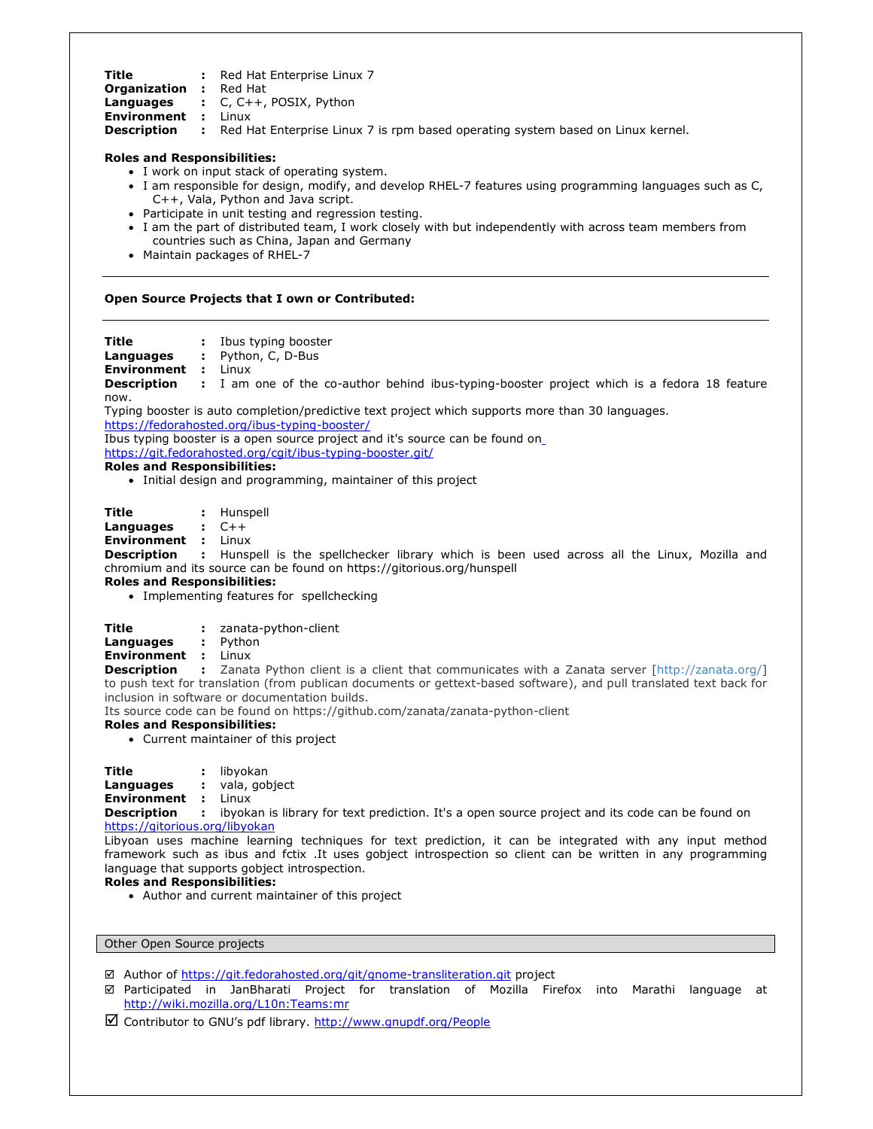Title : Red Hat Enterprise Linux 7

**Organization :** Red Hat

- **Languages :** C, C++, POSIX, Python
- **Environment :** Linux
- **Description :** Red Hat Enterprise Linux 7 is rpm based operating system based on Linux kernel.

#### **Roles and Responsibilities:**

- I work on input stack of operating system.
- I am responsible for design, modify, and develop RHEL-7 features using programming languages such as C, C++, Vala, Python and Java script.
- Participate in unit testing and regression testing.
- I am the part of distributed team, I work closely with but independently with across team members from countries such as China, Japan and Germany
- Maintain packages of RHEL-7

### **Open Source Projects that I own or Contributed:**

**Title :** Ibus typing booster

**Languages :** Python, C, D-Bus

**Environment :** Linux

**Description** : I am one of the co-author behind ibus-typing-booster project which is a fedora 18 feature now.

Typing booster is auto completion/predictive text project which supports more than 30 languages.

https://fedorahosted.org/ibus-typing-booster/

Ibus typing booster is a open source project and it's source can be found on

https://git.fedorahosted.org/cgit/ibus-typing-booster.git/

### **Roles and Responsibilities:**

- Initial design and programming, maintainer of this project
- **Title :** Hunspell
- **Languages :** C++
- **Environment :** Linux

**Description** : Hunspell is the spellchecker library which is been used across all the Linux, Mozilla and chromium and its source can be found on https://gitorious.org/hunspell

#### **Roles and Responsibilities:**

- Implementing features for spellchecking
- **Title :** zanata-python-client
- **Languages :** Python

**Environment :** Linux

**Description :** Zanata Python client is a client that communicates with a Zanata server [http://zanata.org/] to push text for translation (from publican documents or gettext-based software), and pull translated text back for inclusion in software or documentation builds.

Its source code can be found on https://github.com/zanata/zanata-python-client

#### **Roles and Responsibilities:**

- Current maintainer of this project
- **Title :** libyokan
- **Languages :** vala, gobject

**Environment :** Linux

**Description** : ibyokan is library for text prediction. It's a open source project and its code can be found on https://gitorious.org/libyokan

Libyoan uses machine learning techniques for text prediction, it can be integrated with any input method framework such as ibus and fctix .It uses gobject introspection so client can be written in any programming language that supports gobject introspection.

#### **Roles and Responsibilities:**

• Author and current maintainer of this project

Other Open Source projects

- $\boxtimes$  Author of https://git.fedorahosted.org/git/gnome-transliteration.git project
- Participated in JanBharati Project for translation of Mozilla Firefox into Marathi language at http://wiki.mozilla.org/L10n:Teams:mr
- $\Box$  Contributor to GNU's pdf library. http://www.gnupdf.org/People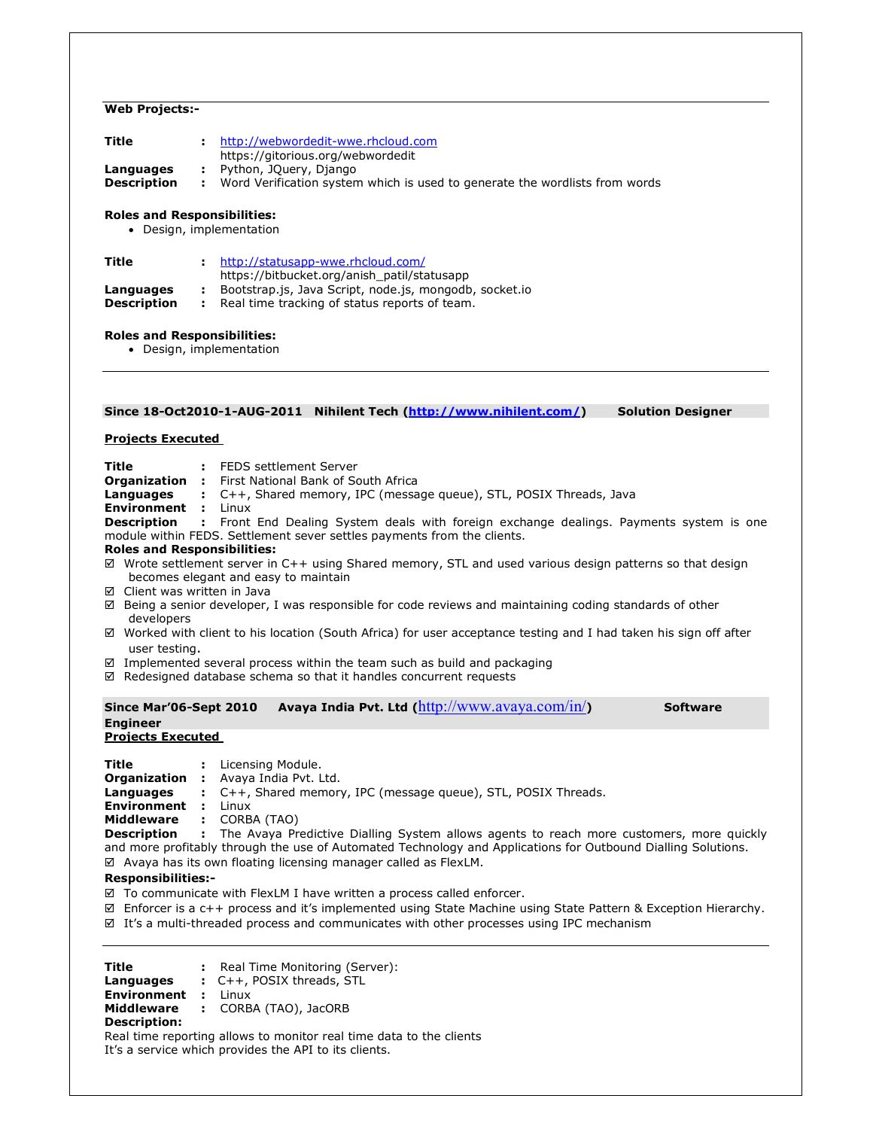#### **Web Projects:-**

| Title                           | http://webwordedit-wwe.rhcloud.com<br>https://gitorious.org/webwordedit                                 |
|---------------------------------|---------------------------------------------------------------------------------------------------------|
| Languages<br><b>Description</b> | : Python, JQuery, Diango<br>Word Verification system which is used to generate the wordlists from words |

#### **Roles and Responsibilities:**

• Design, implementation

| Title              | http://statusapp-wwe.rhcloud.com/                        |
|--------------------|----------------------------------------------------------|
|                    | https://bitbucket.org/anish_patil/statusapp              |
| Languages          | : Bootstrap.js, Java Script, node.js, mongodb, socket.jo |
| <b>Description</b> | : Real time tracking of status reports of team.          |

#### **Roles and Responsibilities:**

• Design, implementation

### Since 18-Oct2010-1-AUG-2011 Nihilent Tech (http://www.nihilent.com/) Solution Designer

#### **Projects Executed**

# **Title :** FEDS settlement Server

- **Organization :** First National Bank of South Africa<br>**Languages :** C++, Shared memory. IPC (messa
- **Languages :** C++, Shared memory, IPC (message queue), STL, POSIX Threads, Java
- **Environment :** Linux

**Description** : Front End Dealing System deals with foreign exchange dealings. Payments system is one module within FEDS. Settlement sever settles payments from the clients.

#### **Roles and Responsibilities:**

- Wrote settlement server in C++ using Shared memory, STL and used various design patterns so that design becomes elegant and easy to maintain
- Client was written in Java
- $\boxtimes$  Being a senior developer, I was responsible for code reviews and maintaining coding standards of other developers
- Worked with client to his location (South Africa) for user acceptance testing and I had taken his sign off after user testing.
- $\boxtimes$  Implemented several process within the team such as build and packaging
- $\boxtimes$  Redesigned database schema so that it handles concurrent requests

| Since Mar'06-Sept 2010   | <b>Avaya India Pvt. Ltd (<math>\frac{http://www.avaya.com/in/}{http://www.avaya.com/in/}{</math></b> | <b>Software</b> |
|--------------------------|------------------------------------------------------------------------------------------------------|-----------------|
| <b>Engineer</b>          |                                                                                                      |                 |
| <b>Projects Executed</b> |                                                                                                      |                 |

**Title :** Licensing Module. **Organization :** Avaya India Pvt. Ltd.

- **Languages :** C++, Shared memory, IPC (message queue), STL, POSIX Threads.
- **Environment :** Linux

**Middleware :** CORBA (TAO)

**Description :** The Avaya Predictive Dialling System allows agents to reach more customers, more quickly and more profitably through the use of Automated Technology and Applications for Outbound Dialling Solutions.

Avaya has its own floating licensing manager called as FlexLM.

# **Responsibilities:-**

- To communicate with FlexLM I have written a process called enforcer.
- Enforcer is a c++ process and it's implemented using State Machine using State Pattern & Exception Hierarchy.
- It's a multi-threaded process and communicates with other processes using IPC mechanism

| Title                                                               |  | : Real Time Monitoring (Server): |  |  |  |
|---------------------------------------------------------------------|--|----------------------------------|--|--|--|
| Languages                                                           |  | : C++, POSIX threads, STL        |  |  |  |
| Environment :                                                       |  | l inux                           |  |  |  |
| Middleware                                                          |  | : CORBA (TAO), JacORB            |  |  |  |
| <b>Description:</b>                                                 |  |                                  |  |  |  |
| Real time reporting allows to monitor real time data to the clients |  |                                  |  |  |  |
| It's a service which provides the API to its clients.               |  |                                  |  |  |  |